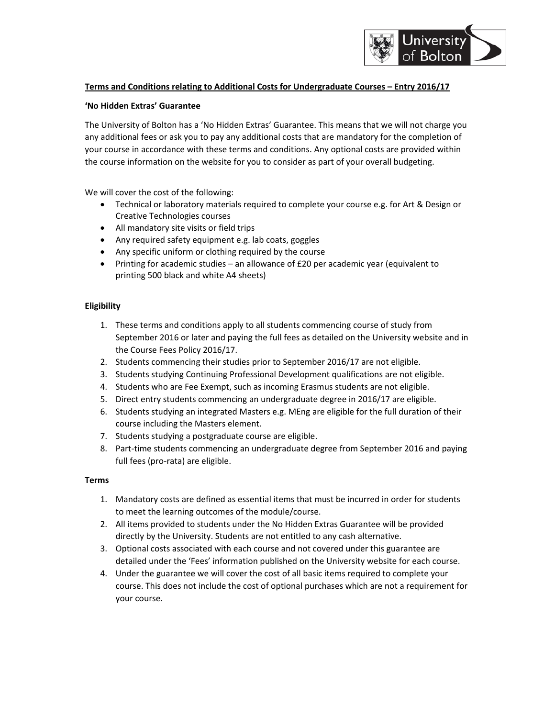

## **Terms and Conditions relating to Additional Costs for Undergraduate Courses – Entry 2016/17**

### **'No Hidden Extras' Guarantee**

The University of Bolton has a 'No Hidden Extras' Guarantee. This means that we will not charge you any additional fees or ask you to pay any additional costs that are mandatory for the completion of your course in accordance with these terms and conditions. Any optional costs are provided within the course information on the website for you to consider as part of your overall budgeting.

We will cover the cost of the following:

- Technical or laboratory materials required to complete your course e.g. for Art & Design or Creative Technologies courses
- All mandatory site visits or field trips
- Any required safety equipment e.g. lab coats, goggles
- Any specific uniform or clothing required by the course
- Printing for academic studies an allowance of £20 per academic year (equivalent to printing 500 black and white A4 sheets)

### **Eligibility**

- 1. These terms and conditions apply to all students commencing course of study from September 2016 or later and paying the full fees as detailed on the University website and in the Course Fees Policy 2016/17.
- 2. Students commencing their studies prior to September 2016/17 are not eligible.
- 3. Students studying Continuing Professional Development qualifications are not eligible.
- 4. Students who are Fee Exempt, such as incoming Erasmus students are not eligible.
- 5. Direct entry students commencing an undergraduate degree in 2016/17 are eligible.
- 6. Students studying an integrated Masters e.g. MEng are eligible for the full duration of their course including the Masters element.
- 7. Students studying a postgraduate course are eligible.
- 8. Part-time students commencing an undergraduate degree from September 2016 and paying full fees (pro‐rata) are eligible.

### **Terms**

- 1. Mandatory costs are defined as essential items that must be incurred in order for students to meet the learning outcomes of the module/course.
- 2. All items provided to students under the No Hidden Extras Guarantee will be provided directly by the University. Students are not entitled to any cash alternative.
- 3. Optional costs associated with each course and not covered under this guarantee are detailed under the 'Fees' information published on the University website for each course.
- 4. Under the guarantee we will cover the cost of all basic items required to complete your course. This does not include the cost of optional purchases which are not a requirement for your course.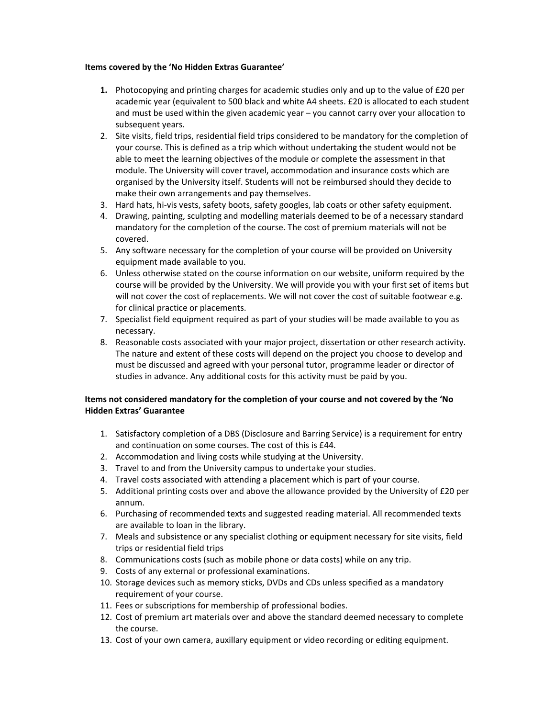### **Items covered by the 'No Hidden Extras Guarantee'**

- **1.** Photocopying and printing charges for academic studies only and up to the value of £20 per academic year (equivalent to 500 black and white A4 sheets. £20 is allocated to each student and must be used within the given academic year – you cannot carry over your allocation to subsequent years.
- 2. Site visits, field trips, residential field trips considered to be mandatory for the completion of your course. This is defined as a trip which without undertaking the student would not be able to meet the learning objectives of the module or complete the assessment in that module. The University will cover travel, accommodation and insurance costs which are organised by the University itself. Students will not be reimbursed should they decide to make their own arrangements and pay themselves.
- 3. Hard hats, hi-vis vests, safety boots, safety googles, lab coats or other safety equipment.
- 4. Drawing, painting, sculpting and modelling materials deemed to be of a necessary standard mandatory for the completion of the course. The cost of premium materials will not be covered.
- 5. Any software necessary for the completion of your course will be provided on University equipment made available to you.
- 6. Unless otherwise stated on the course information on our website, uniform required by the course will be provided by the University. We will provide you with your first set of items but will not cover the cost of replacements. We will not cover the cost of suitable footwear e.g. for clinical practice or placements.
- 7. Specialist field equipment required as part of your studies will be made available to you as necessary.
- 8. Reasonable costs associated with your major project, dissertation or other research activity. The nature and extent of these costs will depend on the project you choose to develop and must be discussed and agreed with your personal tutor, programme leader or director of studies in advance. Any additional costs for this activity must be paid by you.

# **Items not considered mandatory for the completion of your course and not covered by the 'No Hidden Extras' Guarantee**

- 1. Satisfactory completion of a DBS (Disclosure and Barring Service) is a requirement for entry and continuation on some courses. The cost of this is £44.
- 2. Accommodation and living costs while studying at the University.
- 3. Travel to and from the University campus to undertake your studies.
- 4. Travel costs associated with attending a placement which is part of your course.
- 5. Additional printing costs over and above the allowance provided by the University of £20 per annum.
- 6. Purchasing of recommended texts and suggested reading material. All recommended texts are available to loan in the library.
- 7. Meals and subsistence or any specialist clothing or equipment necessary for site visits, field trips or residential field trips
- 8. Communications costs (such as mobile phone or data costs) while on any trip.
- 9. Costs of any external or professional examinations.
- 10. Storage devices such as memory sticks, DVDs and CDs unless specified as a mandatory requirement of your course.
- 11. Fees or subscriptions for membership of professional bodies.
- 12. Cost of premium art materials over and above the standard deemed necessary to complete the course.
- 13. Cost of your own camera, auxillary equipment or video recording or editing equipment.